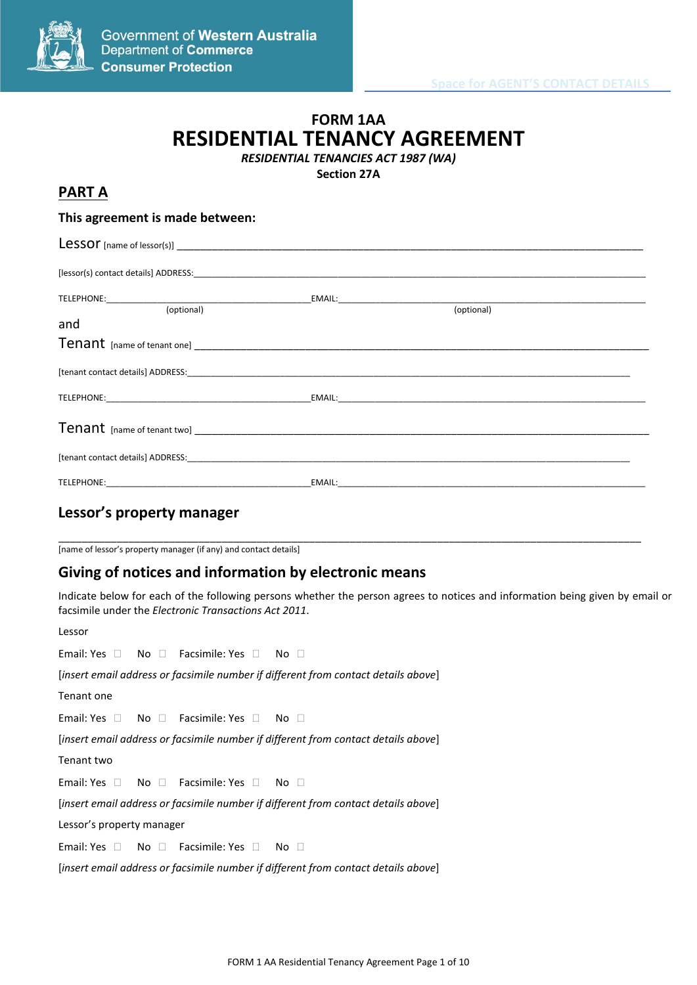

# Government of Western Australia **Department of Commerce Consumer Protection**

# **FORM 1AA RESIDENTIAL TENANCY AGREEMENT**

*RESIDENTIAL TENANCIES ACT 1987 (WA)*

**Section 27A**

# **PART A**

## **This agreement is made between:**

| (optional)            | (optional)                                                                                                                                                                            |  |
|-----------------------|---------------------------------------------------------------------------------------------------------------------------------------------------------------------------------------|--|
| and                   |                                                                                                                                                                                       |  |
|                       |                                                                                                                                                                                       |  |
|                       |                                                                                                                                                                                       |  |
|                       |                                                                                                                                                                                       |  |
|                       |                                                                                                                                                                                       |  |
|                       |                                                                                                                                                                                       |  |
| TELEPHONE: TELEPHONE: | EMAIL: <b>EMAIL: EMAIL: EMAIL: EMAIL: EMAIL: EMAIL: EMAIL: EMAIL: EMAIL: EMAIL: EMAIL: EMAIL: EMAIL: EMAIL: EMAIL: EMAIL: EMAIL: EMAIL: EMAIL: EMAIL: EMAIL: EMAIL: EMAIL: EMAIL:</b> |  |

# **Lessor's property manager**

\_\_\_\_\_\_\_\_\_\_\_\_\_\_\_\_\_\_\_\_\_\_\_\_\_\_\_\_\_\_\_\_\_\_\_\_\_\_\_\_\_\_\_\_\_\_\_\_\_\_\_\_\_\_\_\_\_\_\_\_\_\_\_\_\_\_\_\_\_\_\_\_\_\_\_\_\_\_\_\_\_\_\_\_\_\_\_\_\_\_\_\_\_\_\_\_\_\_\_\_ [name of lessor's property manager (if any) and contact details]

# **Giving of notices and information by electronic means**

Indicate below for each of the following persons whether the person agrees to notices and information being given by email or facsimile under the *Electronic Transactions Act 2011*.

Lessor

Email: Yes  $\Box$  No  $\Box$  Facsimile: Yes  $\Box$  No  $\Box$ 

[*insert email address or facsimile number if different from contact details above*]

Tenant one

Email: Yes  $\Box$  No  $\Box$  Facsimile: Yes  $\Box$  No  $\Box$ 

[*insert email address or facsimile number if different from contact details above*]

Tenant two

Email: Yes  $\Box$  No  $\Box$  Facsimile: Yes  $\Box$  No  $\Box$ 

[*insert email address or facsimile number if different from contact details above*]

Lessor's property manager

Email: Yes  $\Box$  No  $\Box$  Facsimile: Yes  $\Box$  No  $\Box$ 

[*insert email address or facsimile number if different from contact details above*]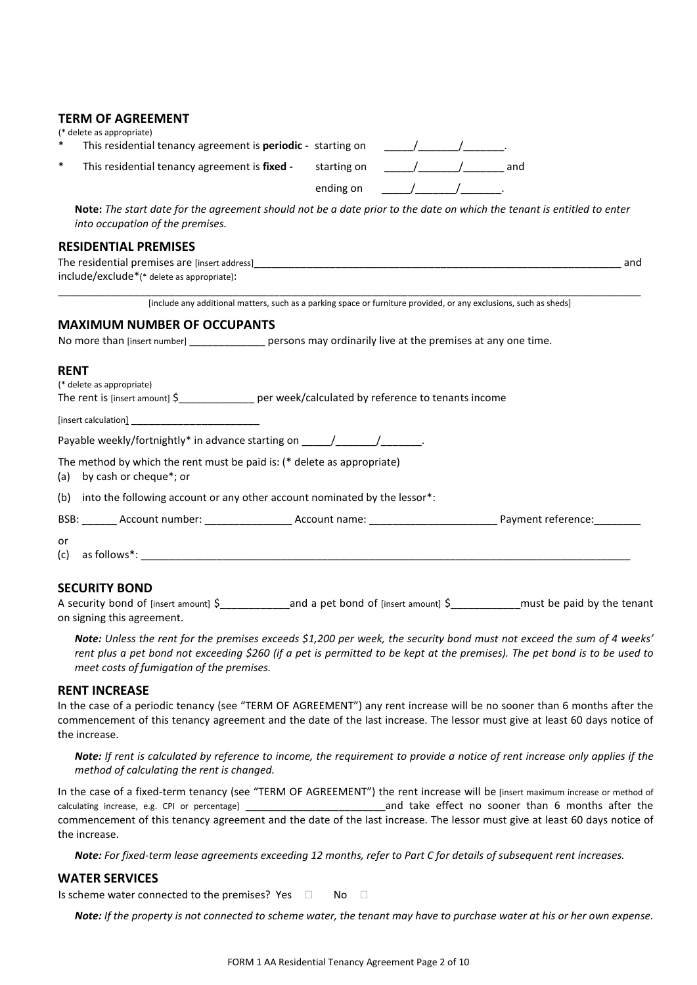#### **TERM OF AGREEMENT**

| (* delete as appropriate) |  |
|---------------------------|--|
|---------------------------|--|

| This residential tenancy agreement is periodic - starting on |  |
|--------------------------------------------------------------|--|
|                                                              |  |

| This residential tenancy agreement is fixed - | starting on | and |
|-----------------------------------------------|-------------|-----|
|                                               | ending on   |     |

**Note:** *The start date for the agreement should not be a date prior to the date on which the tenant is entitled to enter into occupation of the premises.*

#### **RESIDENTIAL PREMISES**

| The residential premises are [insert address] | and |
|-----------------------------------------------|-----|
| include/exclude*(* delete as appropriate):    |     |
|                                               |     |

[include any additional matters, such as a parking space or furniture provided, or any exclusions, such as sheds]

#### **MAXIMUM NUMBER OF OCCUPANTS**

No more than [insert number] example resons may ordinarily live at the premises at any one time.

#### **RENT**

(\* delete as appropriate) The rent is [insert amount]  $\zeta$ \_\_\_\_\_\_\_\_\_\_\_\_\_\_\_\_\_\_ per week/calculated by reference to tenants income

[insert calculation]

Payable weekly/fortnightly\* in advance starting on  $\frac{1}{\sqrt{1-\frac{1}{2}}\sqrt{1-\frac{1}{2}}\cdot\frac{1}{\sqrt{1-\frac{1}{2}}\cdot\frac{1}{\sqrt{1-\frac{1}{2}}\cdot\frac{1}{\sqrt{1-\frac{1}{2}}\cdot\frac{1}{\sqrt{1-\frac{1}{2}}\cdot\frac{1}{\sqrt{1-\frac{1}{2}}\cdot\frac{1}{\sqrt{1-\frac{1}{2}}\cdot\frac{1}{\sqrt{1-\frac{1}{2}}\cdot\frac{1}{\sqrt{1-\frac{1}{$ 

The method by which the rent must be paid is: (\* delete as appropriate)

(a) by cash or cheque\*; or

(b) into the following account or any other account nominated by the lessor\*:

BSB: \_\_\_\_\_\_ Account number: \_\_\_\_\_\_\_\_\_\_\_\_\_\_\_ Account name: \_\_\_\_\_\_\_\_\_\_\_\_\_\_\_\_\_\_\_\_\_\_ Payment reference:\_\_\_\_\_\_\_\_

| or |                      |  |
|----|----------------------|--|
|    | (c) as follows $*$ : |  |

## **SECURITY BOND**

A security bond of [insert amount]  $\zeta$  and a pet bond of [insert amount]  $\zeta$  must be paid by the tenant on signing this agreement.

*Note: Unless the rent for the premises exceeds \$1,200 per week, the security bond must not exceed the sum of 4 weeks' rent plus a pet bond not exceeding \$260 (if a pet is permitted to be kept at the premises). The pet bond is to be used to meet costs of fumigation of the premises.*

#### **RENT INCREASE**

In the case of a periodic tenancy (see "TERM OF AGREEMENT") any rent increase will be no sooner than 6 months after the commencement of this tenancy agreement and the date of the last increase. The lessor must give at least 60 days notice of the increase.

*Note: If rent is calculated by reference to income, the requirement to provide a notice of rent increase only applies if the method of calculating the rent is changed.*

In the case of a fixed-term tenancy (see "TERM OF AGREEMENT") the rent increase will be [insert maximum increase or method of calculating increase, e.g. CPI or percentage] and take effect no sooner than 6 months after the commencement of this tenancy agreement and the date of the last increase. The lessor must give at least 60 days notice of the increase.

*Note: For fixed-term lease agreements exceeding 12 months, refer to Part C for details of subsequent rent increases.*

#### **WATER SERVICES**

Is scheme water connected to the premises? Yes  $\Box$  No  $\Box$ 

*Note: If the property is not connected to scheme water, the tenant may have to purchase water at his or her own expense.*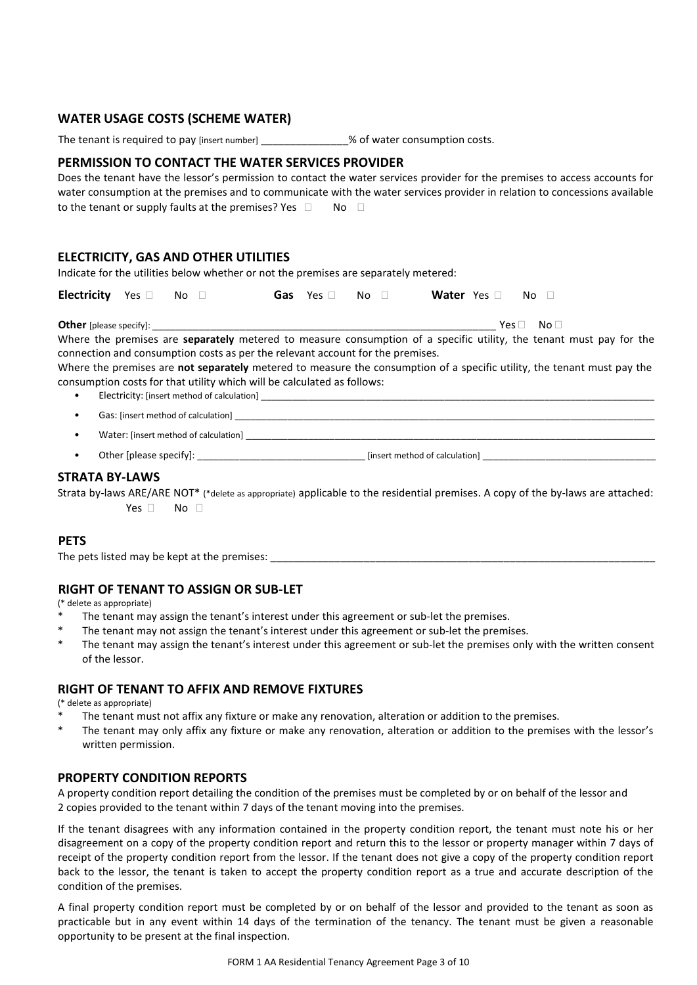## **WATER USAGE COSTS (SCHEME WATER)**

The tenant is required to pay [insert number]  $\%$  of water consumption costs.

## **PERMISSION TO CONTACT THE WATER SERVICES PROVIDER**

|                                                               | Does the tenant have the lessor's permission to contact the water services provider for the premises to access accounts for |
|---------------------------------------------------------------|-----------------------------------------------------------------------------------------------------------------------------|
|                                                               | water consumption at the premises and to communicate with the water services provider in relation to concessions available  |
| to the tenant or supply faults at the premises? Yes $\square$ | No. ⊟                                                                                                                       |

## **ELECTRICITY, GAS AND OTHER UTILITIES**

Indicate for the utilities below whether or not the premises are separately metered:

| Electricity Yes and No and The Sea |  |  | Gas Yes □ No □ | Water Yes a No D |  |
|------------------------------------|--|--|----------------|------------------|--|
|------------------------------------|--|--|----------------|------------------|--|

**Other** [please specify]: *Definition in the contract of the contract of the contract of the contract of the contract of the contract of the contract of the contract of the contract of the contract of the contract of the* 

Where the premises are **separately** metered to measure consumption of a specific utility, the tenant must pay for the connection and consumption costs as per the relevant account for the premises.

Where the premises are **not separately** metered to measure the consumption of a specific utility, the tenant must pay the consumption costs for that utility which will be calculated as follows:

- Electricity: [insert method of calculation] \_\_\_\_\_\_\_\_\_\_\_\_\_\_\_\_\_\_\_\_\_\_\_\_\_\_\_\_\_\_\_\_\_\_
- Gas: [insert method of calculation]
- Water: [insert method of calculation]
- Other [please specify]: example and the specify]: the set of calculation of calculation]  $[insert]$

#### **STRATA BY-LAWS**

Strata by-laws ARE/ARE NOT\* (\*delete as appropriate) applicable to the residential premises. A copy of the by-laws are attached: Yes  $\Box$  No  $\Box$ 

#### **PETS**

The pets listed may be kept at the premises: \_\_\_\_\_\_\_\_\_\_\_\_\_\_\_\_\_\_\_\_\_\_\_\_\_\_\_\_\_\_\_\_\_\_\_\_\_\_\_\_\_\_\_\_\_\_\_\_\_\_\_\_\_\_\_\_\_\_\_\_\_\_\_\_\_\_

## **RIGHT OF TENANT TO ASSIGN OR SUB-LET**

(\* delete as appropriate)

- The tenant may assign the tenant's interest under this agreement or sub-let the premises.
- \* The tenant may not assign the tenant's interest under this agreement or sub-let the premises.
- The tenant may assign the tenant's interest under this agreement or sub-let the premises only with the written consent of the lessor.

## **RIGHT OF TENANT TO AFFIX AND REMOVE FIXTURES**

(\* delete as appropriate)

- The tenant must not affix any fixture or make any renovation, alteration or addition to the premises.
- The tenant may only affix any fixture or make any renovation, alteration or addition to the premises with the lessor's written permission.

## **PROPERTY CONDITION REPORTS**

A property condition report detailing the condition of the premises must be completed by or on behalf of the lessor and 2 copies provided to the tenant within 7 days of the tenant moving into the premises.

If the tenant disagrees with any information contained in the property condition report, the tenant must note his or her disagreement on a copy of the property condition report and return this to the lessor or property manager within 7 days of receipt of the property condition report from the lessor. If the tenant does not give a copy of the property condition report back to the lessor, the tenant is taken to accept the property condition report as a true and accurate description of the condition of the premises.

A final property condition report must be completed by or on behalf of the lessor and provided to the tenant as soon as practicable but in any event within 14 days of the termination of the tenancy. The tenant must be given a reasonable opportunity to be present at the final inspection.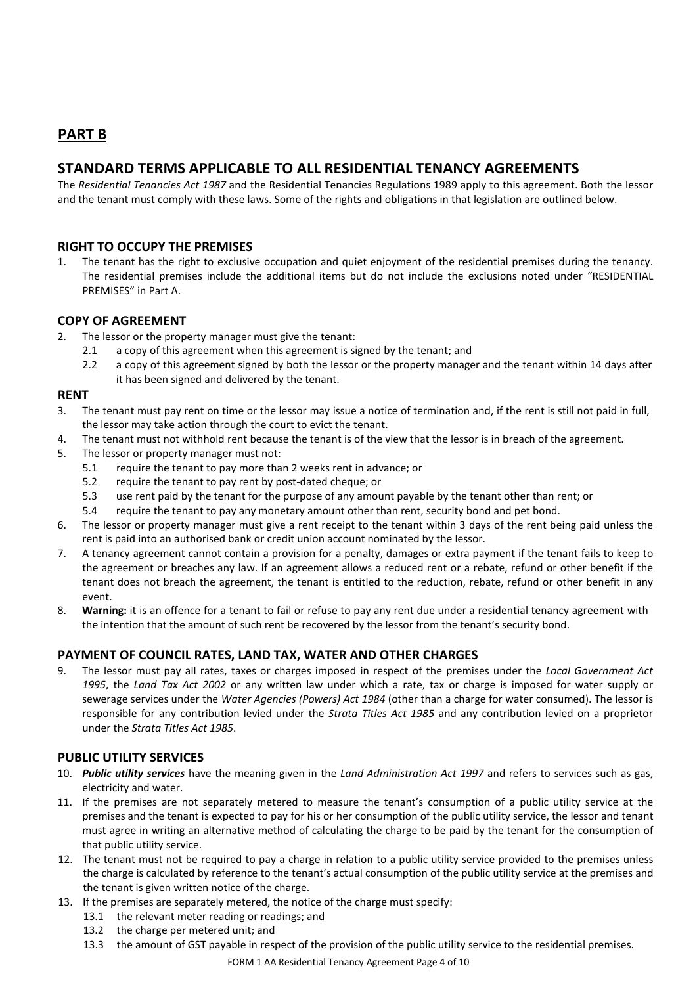# **PART B**

# **STANDARD TERMS APPLICABLE TO ALL RESIDENTIAL TENANCY AGREEMENTS**

The *Residential Tenancies Act 1987* and the Residential Tenancies Regulations 1989 apply to this agreement. Both the lessor and the tenant must comply with these laws. Some of the rights and obligations in that legislation are outlined below.

## **RIGHT TO OCCUPY THE PREMISES**

1. The tenant has the right to exclusive occupation and quiet enjoyment of the residential premises during the tenancy. The residential premises include the additional items but do not include the exclusions noted under "RESIDENTIAL PREMISES" in Part A.

## **COPY OF AGREEMENT**

- 2. The lessor or the property manager must give the tenant:
	- 2.1 a copy of this agreement when this agreement is signed by the tenant; and
	- 2.2 a copy of this agreement signed by both the lessor or the property manager and the tenant within 14 days after it has been signed and delivered by the tenant.

## **RENT**

- 3. The tenant must pay rent on time or the lessor may issue a notice of termination and, if the rent is still not paid in full, the lessor may take action through the court to evict the tenant.
- 4. The tenant must not withhold rent because the tenant is of the view that the lessor is in breach of the agreement.
- 5. The lessor or property manager must not:
	- 5.1 require the tenant to pay more than 2 weeks rent in advance; or
	- 5.2 require the tenant to pay rent by post-dated cheque; or
	- 5.3 use rent paid by the tenant for the purpose of any amount payable by the tenant other than rent; or
	- 5.4 require the tenant to pay any monetary amount other than rent, security bond and pet bond.
- 6. The lessor or property manager must give a rent receipt to the tenant within 3 days of the rent being paid unless the rent is paid into an authorised bank or credit union account nominated by the lessor.
- 7. A tenancy agreement cannot contain a provision for a penalty, damages or extra payment if the tenant fails to keep to the agreement or breaches any law. If an agreement allows a reduced rent or a rebate, refund or other benefit if the tenant does not breach the agreement, the tenant is entitled to the reduction, rebate, refund or other benefit in any event.
- 8. **Warning:** it is an offence for a tenant to fail or refuse to pay any rent due under a residential tenancy agreement with the intention that the amount of such rent be recovered by the lessor from the tenant's security bond.

## **PAYMENT OF COUNCIL RATES, LAND TAX, WATER AND OTHER CHARGES**

9. The lessor must pay all rates, taxes or charges imposed in respect of the premises under the *Local Government Act 1995*, the *Land Tax Act 2002* or any written law under which a rate, tax or charge is imposed for water supply or sewerage services under the *Water Agencies (Powers) Act 1984* (other than a charge for water consumed). The lessor is responsible for any contribution levied under the *Strata Titles Act 1985* and any contribution levied on a proprietor under the *Strata Titles Act 1985*.

## **PUBLIC UTILITY SERVICES**

- 10. *Public utility services* have the meaning given in the *Land Administration Act 1997* and refers to services such as gas, electricity and water.
- 11. If the premises are not separately metered to measure the tenant's consumption of a public utility service at the premises and the tenant is expected to pay for his or her consumption of the public utility service, the lessor and tenant must agree in writing an alternative method of calculating the charge to be paid by the tenant for the consumption of that public utility service.
- 12. The tenant must not be required to pay a charge in relation to a public utility service provided to the premises unless the charge is calculated by reference to the tenant's actual consumption of the public utility service at the premises and the tenant is given written notice of the charge.
- 13. If the premises are separately metered, the notice of the charge must specify:
	- 13.1 the relevant meter reading or readings; and
	- 13.2 the charge per metered unit; and
	- 13.3 the amount of GST payable in respect of the provision of the public utility service to the residential premises.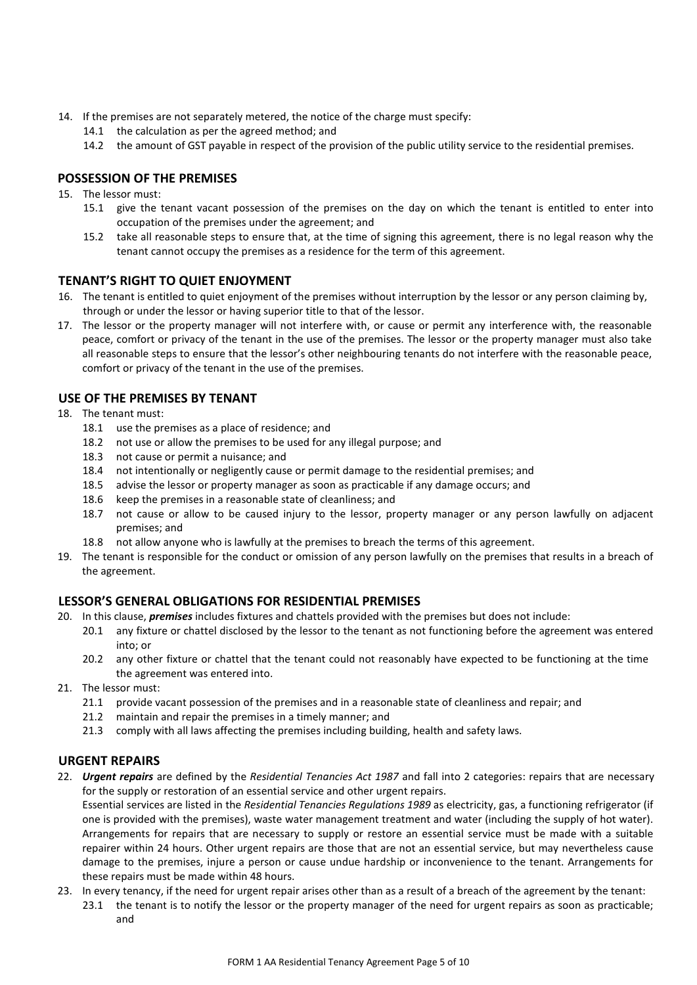- 14. If the premises are not separately metered, the notice of the charge must specify:
	- 14.1 the calculation as per the agreed method; and
	- 14.2 the amount of GST payable in respect of the provision of the public utility service to the residential premises.

## **POSSESSION OF THE PREMISES**

- 15. The lessor must:
	- 15.1 give the tenant vacant possession of the premises on the day on which the tenant is entitled to enter into occupation of the premises under the agreement; and
	- 15.2 take all reasonable steps to ensure that, at the time of signing this agreement, there is no legal reason why the tenant cannot occupy the premises as a residence for the term of this agreement.

#### **TENANT'S RIGHT TO QUIET ENJOYMENT**

- 16. The tenant is entitled to quiet enjoyment of the premises without interruption by the lessor or any person claiming by, through or under the lessor or having superior title to that of the lessor.
- 17. The lessor or the property manager will not interfere with, or cause or permit any interference with, the reasonable peace, comfort or privacy of the tenant in the use of the premises. The lessor or the property manager must also take all reasonable steps to ensure that the lessor's other neighbouring tenants do not interfere with the reasonable peace, comfort or privacy of the tenant in the use of the premises.

## **USE OF THE PREMISES BY TENANT**

- 18. The tenant must:
	- 18.1 use the premises as a place of residence; and
	- 18.2 not use or allow the premises to be used for any illegal purpose; and
	- 18.3 not cause or permit a nuisance; and
	- 18.4 not intentionally or negligently cause or permit damage to the residential premises; and
	- 18.5 advise the lessor or property manager as soon as practicable if any damage occurs; and
	- 18.6 keep the premises in a reasonable state of cleanliness; and
	- 18.7 not cause or allow to be caused injury to the lessor, property manager or any person lawfully on adjacent premises; and
	- 18.8 not allow anyone who is lawfully at the premises to breach the terms of this agreement.
- 19. The tenant is responsible for the conduct or omission of any person lawfully on the premises that results in a breach of the agreement.

## **LESSOR'S GENERAL OBLIGATIONS FOR RESIDENTIAL PREMISES**

- 20. In this clause, *premises* includes fixtures and chattels provided with the premises but does not include:
	- 20.1 any fixture or chattel disclosed by the lessor to the tenant as not functioning before the agreement was entered into; or
	- 20.2 any other fixture or chattel that the tenant could not reasonably have expected to be functioning at the time the agreement was entered into.
- 21. The lessor must:
	- 21.1 provide vacant possession of the premises and in a reasonable state of cleanliness and repair; and
	- 21.2 maintain and repair the premises in a timely manner; and
	- 21.3 comply with all laws affecting the premises including building, health and safety laws.

## **URGENT REPAIRS**

22. *Urgent repairs* are defined by the *Residential Tenancies Act 1987* and fall into 2 categories: repairs that are necessary for the supply or restoration of an essential service and other urgent repairs.

Essential services are listed in the *Residential Tenancies Regulations 1989* as electricity, gas, a functioning refrigerator (if one is provided with the premises), waste water management treatment and water (including the supply of hot water). Arrangements for repairs that are necessary to supply or restore an essential service must be made with a suitable repairer within 24 hours. Other urgent repairs are those that are not an essential service, but may nevertheless cause damage to the premises, injure a person or cause undue hardship or inconvenience to the tenant. Arrangements for these repairs must be made within 48 hours.

- 23. In every tenancy, if the need for urgent repair arises other than as a result of a breach of the agreement by the tenant:
	- 23.1 the tenant is to notify the lessor or the property manager of the need for urgent repairs as soon as practicable; and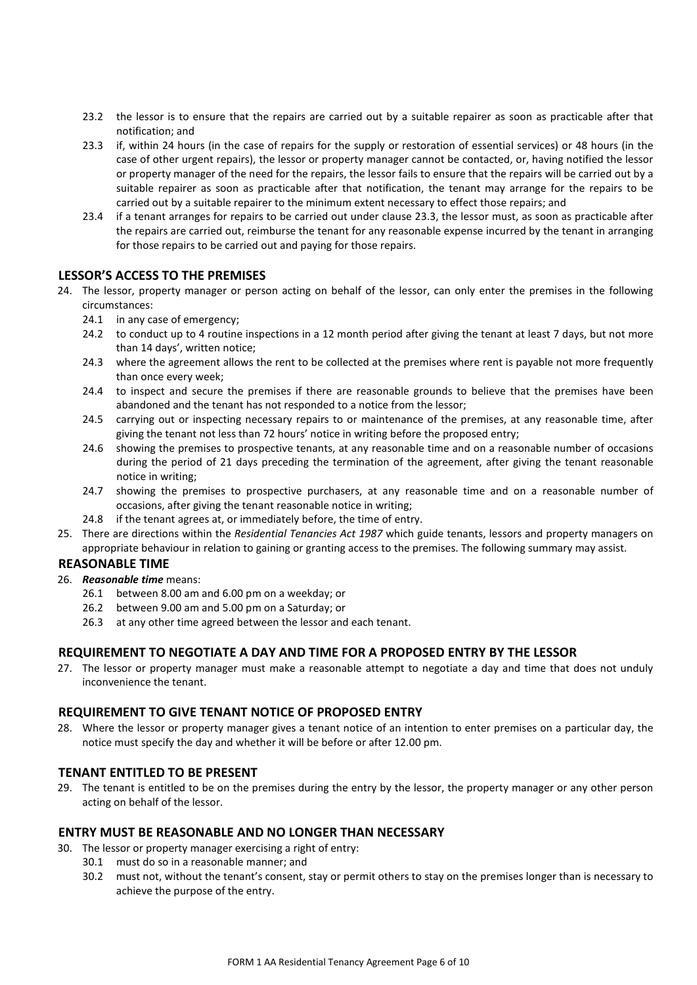- 23.2 the lessor is to ensure that the repairs are carried out by a suitable repairer as soon as practicable after that notification; and
- 23.3 if, within 24 hours (in the case of repairs for the supply or restoration of essential services) or 48 hours (in the case of other urgent repairs), the lessor or property manager cannot be contacted, or, having notified the lessor or property manager of the need for the repairs, the lessor fails to ensure that the repairs will be carried out by a suitable repairer as soon as practicable after that notification, the tenant may arrange for the repairs to be carried out by a suitable repairer to the minimum extent necessary to effect those repairs; and
- 23.4 if a tenant arranges for repairs to be carried out under clause 23.3, the lessor must, as soon as practicable after the repairs are carried out, reimburse the tenant for any reasonable expense incurred by the tenant in arranging for those repairs to be carried out and paying for those repairs.

## **LESSOR'S ACCESS TO THE PREMISES**

- 24. The lessor, property manager or person acting on behalf of the lessor, can only enter the premises in the following circumstances:
	- 24.1 in any case of emergency;
	- 24.2 to conduct up to 4 routine inspections in a 12 month period after giving the tenant at least 7 days, but not more than 14 days', written notice;
	- 24.3 where the agreement allows the rent to be collected at the premises where rent is payable not more frequently than once every week;
	- 24.4 to inspect and secure the premises if there are reasonable grounds to believe that the premises have been abandoned and the tenant has not responded to a notice from the lessor;
	- 24.5 carrying out or inspecting necessary repairs to or maintenance of the premises, at any reasonable time, after giving the tenant not less than 72 hours' notice in writing before the proposed entry;
	- 24.6 showing the premises to prospective tenants, at any reasonable time and on a reasonable number of occasions during the period of 21 days preceding the termination of the agreement, after giving the tenant reasonable notice in writing;
	- 24.7 showing the premises to prospective purchasers, at any reasonable time and on a reasonable number of occasions, after giving the tenant reasonable notice in writing;
	- 24.8 if the tenant agrees at, or immediately before, the time of entry.
- 25. There are directions within the *Residential Tenancies Act 1987* which guide tenants, lessors and property managers on appropriate behaviour in relation to gaining or granting access to the premises. The following summary may assist.

## **REASONABLE TIME**

- 26. *Reasonable time* means:
	- 26.1 between 8.00 am and 6.00 pm on a weekday; or
	- 26.2 between 9.00 am and 5.00 pm on a Saturday; or
	- 26.3 at any other time agreed between the lessor and each tenant.

## **REQUIREMENT TO NEGOTIATE A DAY AND TIME FOR A PROPOSED ENTRY BY THE LESSOR**

27. The lessor or property manager must make a reasonable attempt to negotiate a day and time that does not unduly inconvenience the tenant.

## **REQUIREMENT TO GIVE TENANT NOTICE OF PROPOSED ENTRY**

28. Where the lessor or property manager gives a tenant notice of an intention to enter premises on a particular day, the notice must specify the day and whether it will be before or after 12.00 pm.

## **TENANT ENTITLED TO BE PRESENT**

29. The tenant is entitled to be on the premises during the entry by the lessor, the property manager or any other person acting on behalf of the lessor.

#### **ENTRY MUST BE REASONABLE AND NO LONGER THAN NECESSARY**

- 30. The lessor or property manager exercising a right of entry:
	- 30.1 must do so in a reasonable manner; and
	- 30.2 must not, without the tenant's consent, stay or permit others to stay on the premises longer than is necessary to achieve the purpose of the entry.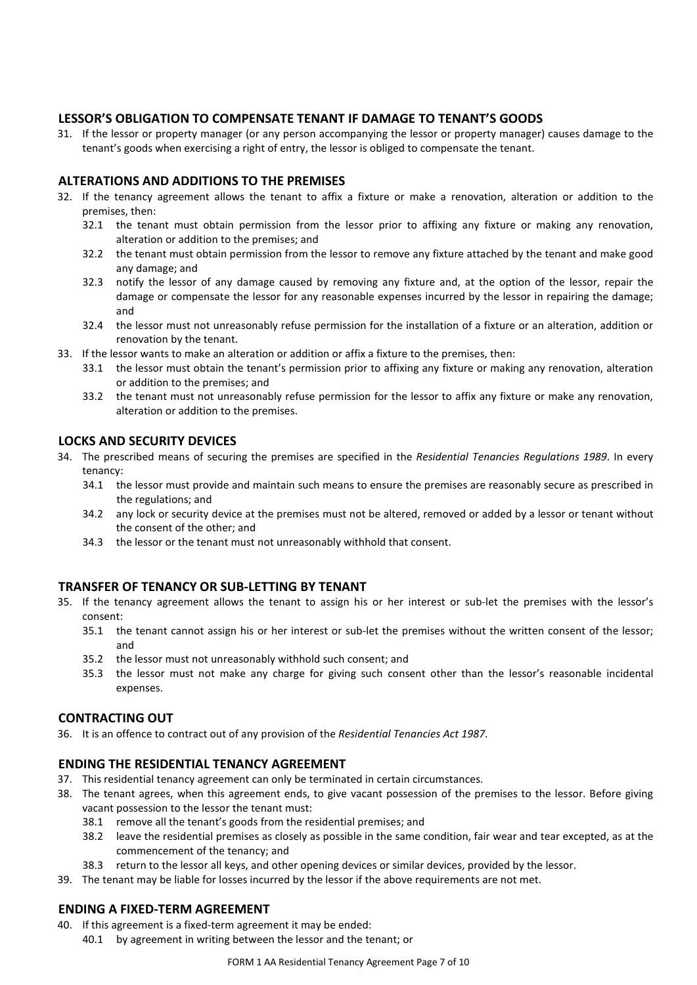## **LESSOR'S OBLIGATION TO COMPENSATE TENANT IF DAMAGE TO TENANT'S GOODS**

31. If the lessor or property manager (or any person accompanying the lessor or property manager) causes damage to the tenant's goods when exercising a right of entry, the lessor is obliged to compensate the tenant.

## **ALTERATIONS AND ADDITIONS TO THE PREMISES**

- 32. If the tenancy agreement allows the tenant to affix a fixture or make a renovation, alteration or addition to the premises, then:
	- 32.1 the tenant must obtain permission from the lessor prior to affixing any fixture or making any renovation, alteration or addition to the premises; and
	- 32.2 the tenant must obtain permission from the lessor to remove any fixture attached by the tenant and make good any damage; and
	- 32.3 notify the lessor of any damage caused by removing any fixture and, at the option of the lessor, repair the damage or compensate the lessor for any reasonable expenses incurred by the lessor in repairing the damage; and
	- 32.4 the lessor must not unreasonably refuse permission for the installation of a fixture or an alteration, addition or renovation by the tenant.
- 33. If the lessor wants to make an alteration or addition or affix a fixture to the premises, then:
	- 33.1 the lessor must obtain the tenant's permission prior to affixing any fixture or making any renovation, alteration or addition to the premises; and
	- 33.2 the tenant must not unreasonably refuse permission for the lessor to affix any fixture or make any renovation, alteration or addition to the premises.

## **LOCKS AND SECURITY DEVICES**

- 34. The prescribed means of securing the premises are specified in the *Residential Tenancies Regulations 1989*. In every tenancy:
	- 34.1 the lessor must provide and maintain such means to ensure the premises are reasonably secure as prescribed in the regulations; and
	- 34.2 any lock or security device at the premises must not be altered, removed or added by a lessor or tenant without the consent of the other; and
	- 34.3 the lessor or the tenant must not unreasonably withhold that consent.

#### **TRANSFER OF TENANCY OR SUB-LETTING BY TENANT**

- 35. If the tenancy agreement allows the tenant to assign his or her interest or sub-let the premises with the lessor's consent:
	- 35.1 the tenant cannot assign his or her interest or sub-let the premises without the written consent of the lessor; and
	- 35.2 the lessor must not unreasonably withhold such consent; and
	- 35.3 the lessor must not make any charge for giving such consent other than the lessor's reasonable incidental expenses.

#### **CONTRACTING OUT**

36. It is an offence to contract out of any provision of the *Residential Tenancies Act 1987*.

#### **ENDING THE RESIDENTIAL TENANCY AGREEMENT**

- 37. This residential tenancy agreement can only be terminated in certain circumstances.
- 38. The tenant agrees, when this agreement ends, to give vacant possession of the premises to the lessor. Before giving vacant possession to the lessor the tenant must:
	- 38.1 remove all the tenant's goods from the residential premises; and
	- 38.2 leave the residential premises as closely as possible in the same condition, fair wear and tear excepted, as at the commencement of the tenancy; and
	- 38.3 return to the lessor all keys, and other opening devices or similar devices, provided by the lessor.
- 39. The tenant may be liable for losses incurred by the lessor if the above requirements are not met.

#### **ENDING A FIXED-TERM AGREEMENT**

- 40. If this agreement is a fixed-term agreement it may be ended:
	- 40.1 by agreement in writing between the lessor and the tenant; or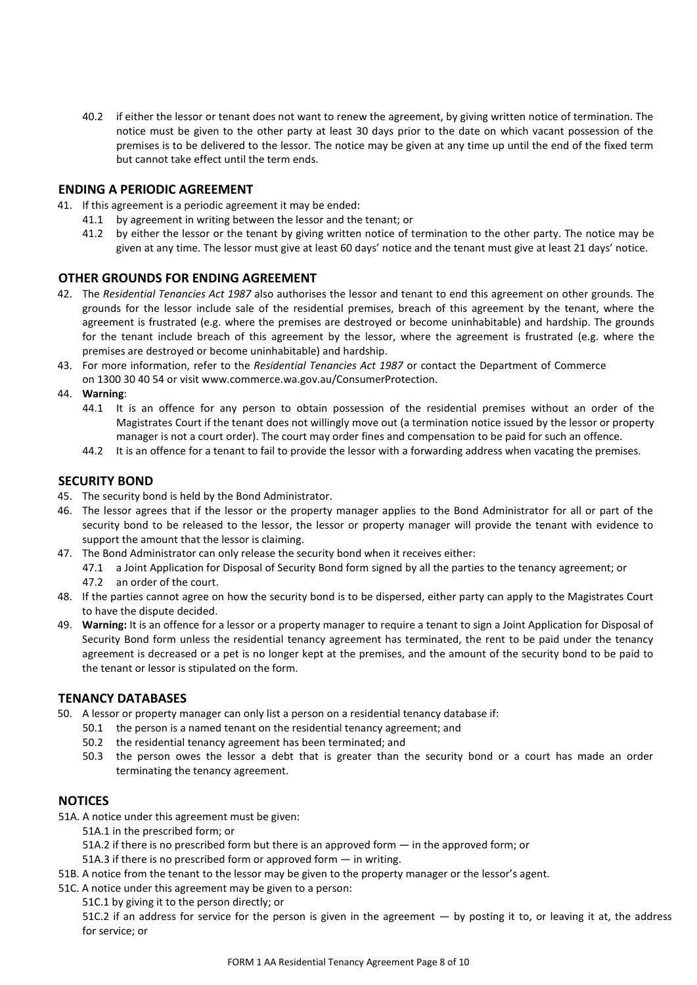40.2 if either the lessor or tenant does not want to renew the agreement, by giving written notice of termination. The notice must be given to the other party at least 30 days prior to the date on which vacant possession of the premises is to be delivered to the lessor. The notice may be given at any time up until the end of the fixed term but cannot take effect until the term ends.

#### **ENDING A PERIODIC AGREEMENT**

- 41. If this agreement is a periodic agreement it may be ended:
	- 41.1 by agreement in writing between the lessor and the tenant; or
	- 41.2 by either the lessor or the tenant by giving written notice of termination to the other party. The notice may be given at any time. The lessor must give at least 60 days' notice and the tenant must give at least 21 days' notice.

#### **OTHER GROUNDS FOR ENDING AGREEMENT**

- 42. The *Residential Tenancies Act 1987* also authorises the lessor and tenant to end this agreement on other grounds. The grounds for the lessor include sale of the residential premises, breach of this agreement by the tenant, where the agreement is frustrated (e.g. where the premises are destroyed or become uninhabitable) and hardship. The grounds for the tenant include breach of this agreement by the lessor, where the agreement is frustrated (e.g. where the premises are destroyed or become uninhabitable) and hardship.
- 43. For more information, refer to the *Residential Tenancies Act 1987* or contact the Department of Commerce
- on 1300 30 40 54 or visit www.commerce.wa.gov.au/ConsumerProtection.
- 44. **Warning**:
	- 44.1 It is an offence for any person to obtain possession of the residential premises without an order of the Magistrates Court if the tenant does not willingly move out (a termination notice issued by the lessor or property manager is not a court order). The court may order fines and compensation to be paid for such an offence.
	- 44.2 It is an offence for a tenant to fail to provide the lessor with a forwarding address when vacating the premises.

## **SECURITY BOND**

- 45. The security bond is held by the Bond Administrator.
- 46. The lessor agrees that if the lessor or the property manager applies to the Bond Administrator for all or part of the security bond to be released to the lessor, the lessor or property manager will provide the tenant with evidence to support the amount that the lessor is claiming.
- 47. The Bond Administrator can only release the security bond when it receives either:
	- 47.1 a Joint Application for Disposal of Security Bond form signed by all the parties to the tenancy agreement; or 47.2 an order of the court.
- 48. If the parties cannot agree on how the security bond is to be dispersed, either party can apply to the Magistrates Court to have the dispute decided.
- 49. **Warning:** It is an offence for a lessor or a property manager to require a tenant to sign a Joint Application for Disposal of Security Bond form unless the residential tenancy agreement has terminated, the rent to be paid under the tenancy agreement is decreased or a pet is no longer kept at the premises, and the amount of the security bond to be paid to the tenant or lessor is stipulated on the form.

## **TENANCY DATABASES**

- 50. A lessor or property manager can only list a person on a residential tenancy database if:
	- 50.1 the person is a named tenant on the residential tenancy agreement; and
		- 50.2 the residential tenancy agreement has been terminated; and
		- 50.3 the person owes the lessor a debt that is greater than the security bond or a court has made an order terminating the tenancy agreement.

## **NOTICES**

- 51A. A notice under this agreement must be given:
	- 51A.1 in the prescribed form; or
	- 51A.2 if there is no prescribed form but there is an approved form in the approved form; or
	- 51A.3 if there is no prescribed form or approved form in writing.
- 51B. A notice from the tenant to the lessor may be given to the property manager or the lessor's agent.
- 51C. A notice under this agreement may be given to a person:
	- 51C.1 by giving it to the person directly; or

 51C.2 if an address for service for the person is given in the agreement — by posting it to, or leaving it at, the address for service; or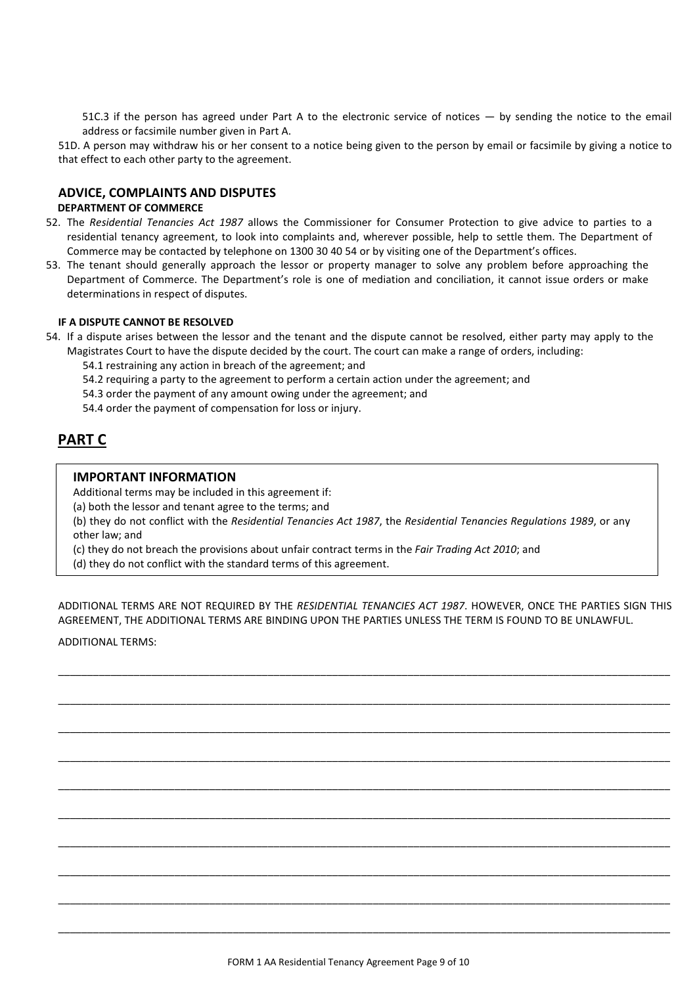51C.3 if the person has agreed under Part A to the electronic service of notices — by sending the notice to the email address or facsimile number given in Part A.

51D. A person may withdraw his or her consent to a notice being given to the person by email or facsimile by giving a notice to that effect to each other party to the agreement.

#### **ADVICE, COMPLAINTS AND DISPUTES**

#### **DEPARTMENT OF COMMERCE**

- 52. The *Residential Tenancies Act 1987* allows the Commissioner for Consumer Protection to give advice to parties to a residential tenancy agreement, to look into complaints and, wherever possible, help to settle them. The Department of Commerce may be contacted by telephone on 1300 30 40 54 or by visiting one of the Department's offices.
- 53. The tenant should generally approach the lessor or property manager to solve any problem before approaching the Department of Commerce. The Department's role is one of mediation and conciliation, it cannot issue orders or make determinations in respect of disputes.

#### **IF A DISPUTE CANNOT BE RESOLVED**

54. If a dispute arises between the lessor and the tenant and the dispute cannot be resolved, either party may apply to the Magistrates Court to have the dispute decided by the court. The court can make a range of orders, including:

54.1 restraining any action in breach of the agreement; and

54.2 requiring a party to the agreement to perform a certain action under the agreement; and

54.3 order the payment of any amount owing under the agreement; and

54.4 order the payment of compensation for loss or injury.

# **PART C**

#### **IMPORTANT INFORMATION**

Additional terms may be included in this agreement if:

(a) both the lessor and tenant agree to the terms; and

(b) they do not conflict with the *Residential Tenancies Act 1987*, the *Residential Tenancies Regulations 1989*, or any other law; and

(c) they do not breach the provisions about unfair contract terms in the *Fair Trading Act 2010*; and

(d) they do not conflict with the standard terms of this agreement.

ADDITIONAL TERMS ARE NOT REQUIRED BY THE *RESIDENTIAL TENANCIES ACT 1987*. HOWEVER, ONCE THE PARTIES SIGN THIS AGREEMENT, THE ADDITIONAL TERMS ARE BINDING UPON THE PARTIES UNLESS THE TERM IS FOUND TO BE UNLAWFUL.

\_\_\_\_\_\_\_\_\_\_\_\_\_\_\_\_\_\_\_\_\_\_\_\_\_\_\_\_\_\_\_\_\_\_\_\_\_\_\_\_\_\_\_\_\_\_\_\_\_\_\_\_\_\_\_\_\_\_\_\_\_\_\_\_\_\_\_\_\_\_\_\_\_\_\_\_\_\_\_\_\_\_\_\_\_\_\_\_\_\_\_\_\_\_\_\_\_\_\_\_\_\_\_\_\_

\_\_\_\_\_\_\_\_\_\_\_\_\_\_\_\_\_\_\_\_\_\_\_\_\_\_\_\_\_\_\_\_\_\_\_\_\_\_\_\_\_\_\_\_\_\_\_\_\_\_\_\_\_\_\_\_\_\_\_\_\_\_\_\_\_\_\_\_\_\_\_\_\_\_\_\_\_\_\_\_\_\_\_\_\_\_\_\_\_\_\_\_\_\_\_\_\_\_\_\_\_\_\_\_\_

\_\_\_\_\_\_\_\_\_\_\_\_\_\_\_\_\_\_\_\_\_\_\_\_\_\_\_\_\_\_\_\_\_\_\_\_\_\_\_\_\_\_\_\_\_\_\_\_\_\_\_\_\_\_\_\_\_\_\_\_\_\_\_\_\_\_\_\_\_\_\_\_\_\_\_\_\_\_\_\_\_\_\_\_\_\_\_\_\_\_\_\_\_\_\_\_\_\_\_\_\_\_\_\_\_

\_\_\_\_\_\_\_\_\_\_\_\_\_\_\_\_\_\_\_\_\_\_\_\_\_\_\_\_\_\_\_\_\_\_\_\_\_\_\_\_\_\_\_\_\_\_\_\_\_\_\_\_\_\_\_\_\_\_\_\_\_\_\_\_\_\_\_\_\_\_\_\_\_\_\_\_\_\_\_\_\_\_\_\_\_\_\_\_\_\_\_\_\_\_\_\_\_\_\_\_\_\_\_\_\_

\_\_\_\_\_\_\_\_\_\_\_\_\_\_\_\_\_\_\_\_\_\_\_\_\_\_\_\_\_\_\_\_\_\_\_\_\_\_\_\_\_\_\_\_\_\_\_\_\_\_\_\_\_\_\_\_\_\_\_\_\_\_\_\_\_\_\_\_\_\_\_\_\_\_\_\_\_\_\_\_\_\_\_\_\_\_\_\_\_\_\_\_\_\_\_\_\_\_\_\_\_\_\_\_\_

\_\_\_\_\_\_\_\_\_\_\_\_\_\_\_\_\_\_\_\_\_\_\_\_\_\_\_\_\_\_\_\_\_\_\_\_\_\_\_\_\_\_\_\_\_\_\_\_\_\_\_\_\_\_\_\_\_\_\_\_\_\_\_\_\_\_\_\_\_\_\_\_\_\_\_\_\_\_\_\_\_\_\_\_\_\_\_\_\_\_\_\_\_\_\_\_\_\_\_\_\_\_\_\_\_

\_\_\_\_\_\_\_\_\_\_\_\_\_\_\_\_\_\_\_\_\_\_\_\_\_\_\_\_\_\_\_\_\_\_\_\_\_\_\_\_\_\_\_\_\_\_\_\_\_\_\_\_\_\_\_\_\_\_\_\_\_\_\_\_\_\_\_\_\_\_\_\_\_\_\_\_\_\_\_\_\_\_\_\_\_\_\_\_\_\_\_\_\_\_\_\_\_\_\_\_\_\_\_\_\_

\_\_\_\_\_\_\_\_\_\_\_\_\_\_\_\_\_\_\_\_\_\_\_\_\_\_\_\_\_\_\_\_\_\_\_\_\_\_\_\_\_\_\_\_\_\_\_\_\_\_\_\_\_\_\_\_\_\_\_\_\_\_\_\_\_\_\_\_\_\_\_\_\_\_\_\_\_\_\_\_\_\_\_\_\_\_\_\_\_\_\_\_\_\_\_\_\_\_\_\_\_\_\_\_\_

\_\_\_\_\_\_\_\_\_\_\_\_\_\_\_\_\_\_\_\_\_\_\_\_\_\_\_\_\_\_\_\_\_\_\_\_\_\_\_\_\_\_\_\_\_\_\_\_\_\_\_\_\_\_\_\_\_\_\_\_\_\_\_\_\_\_\_\_\_\_\_\_\_\_\_\_\_\_\_\_\_\_\_\_\_\_\_\_\_\_\_\_\_\_\_\_\_\_\_\_\_\_\_\_\_

\_\_\_\_\_\_\_\_\_\_\_\_\_\_\_\_\_\_\_\_\_\_\_\_\_\_\_\_\_\_\_\_\_\_\_\_\_\_\_\_\_\_\_\_\_\_\_\_\_\_\_\_\_\_\_\_\_\_\_\_\_\_\_\_\_\_\_\_\_\_\_\_\_\_\_\_\_\_\_\_\_\_\_\_\_\_\_\_\_\_\_\_\_\_\_\_\_\_\_\_\_\_\_\_\_

ADDITIONAL TERMS: